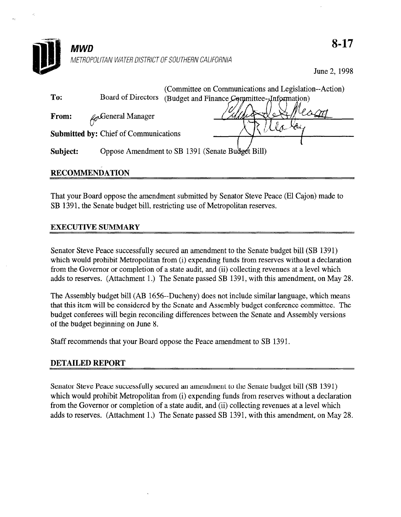

## RECOMMENDATION

That your Board oppose the amendment submitted by Senator Steve Peace (El Cajon) made to SB 1391, the Senate budget bill, restricting use of Metropolitan reserves.

## EXECUTIVE SUMMARY

 $S = S_{\text{S}}$  Senator Steve Peace successive peace successfully secured and amendment to the Senate budget bill (SB 1391)  $S$ chator would probability secured an amending to the senate budget bin  $(SD, I32I)$ which would prohibit Metropolitan from (i) expending funds from reserves without a declaration from the Governor or completion of a state audit, and (ii) collecting revenues at a level which adds to reserves. (Attachment 1.) The Senate passed SB 1391, with this amendment, on May 28.

The Assembly budget bill (AB 1656--Ducheny) does not include similar language, which means The Assembly budget but (AD 1050-Ducheny) does not include similar language, which means that this item will be considered by the Senate and Assembly budget conference committee. The budget conferees will begin reconciling differences between the Senate and Assembly versions of the budget beginning on June 8.

Senator Steve Peace successfully secured an amendment to the Senate budget bill (SB 1391) which would prohibit Metropolitan from (i) expending funds from reserves without a declaration from the Governor or completion of a state audit, and (ii) collecting revenues at a level which adds to reserves. (Attachment 1.) The Senate passed SB 1391, with this amendment, on May 28.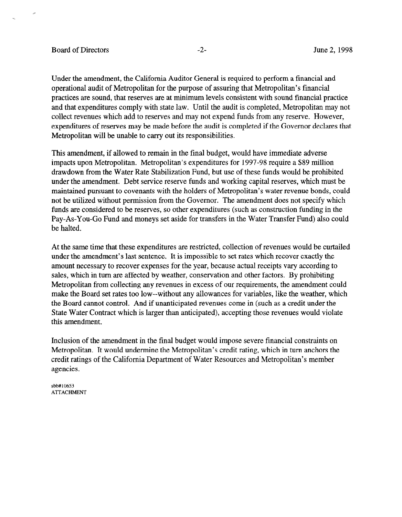## Board of Directors  $-2$ - June 2, 1998

Under the amendment, the California Auditor General is required to perform a financial and operational audit of Metropolitan for the purpose of assuring that Metropolitan's financial practices are sound, that reserves are at minimum levels consistent with sound financial practice and that expenditures comply with state law. Until the audit is completed, Metropolitan may not collect revenues which add to reserves and may not expend funds from any reserve. However, expenditures of reserves may be made before the audit is completed if the Governor declares that Metropolitan will be unable to carry out its responsibilities.

This amendment, if allowed to remain in the final budget, would have immediate adverse impacts upon Metropolitan. Metropolitan's expenditures for 1997-98 require a \$89 million drawdown from the Water Rate Stabilization Fund, but use of these funds would be prohibited under the amendment. Debt service reserve funds and working capital reserves, which must be maintained pursuant to covenants with the holders of Metropolitan's water revenue bonds, could not be utilized without permission from the Governor. The amendment does not specify which funds are considered to be reserves, so other expenditures (such as construction funding in the Pay-As-You-Go Fund and moneys set aside for transfers in the Water Transfer Fund) also could be halted.

At the same time that these expenditures are restricted, collection of revenues would be curtailed At the same time that these expenditures are restricted, concerton of revenues would be curt under the amendment's last sentence. It is impossible to set rates which recover exactly the amount necessary to recover expenses for the year, because actual receipts vary according to sales, which in turn are affected by weather, conservation and other factors. By prohibiting Metropolitan from collecting any revenues in excess of our requirements, the amendment could make the Board set rates too low--without any allowances for variables, like the weather, which the Board cannot control. And if unanticipated revenues come in (such as a credit under the State Water Contract which is larger than anticipated), accepting those revenues would violate this amendment.

Inclusion of the amendment in the final budget would impose severe financial constraints on Metropolitan. It would undermine the Metropolitan's credit rating, which in turn anchors the credit ratings of the California Department of Water Resources and Metropolitan's member agencies.

sbb#10653 **ATTACHMENT**